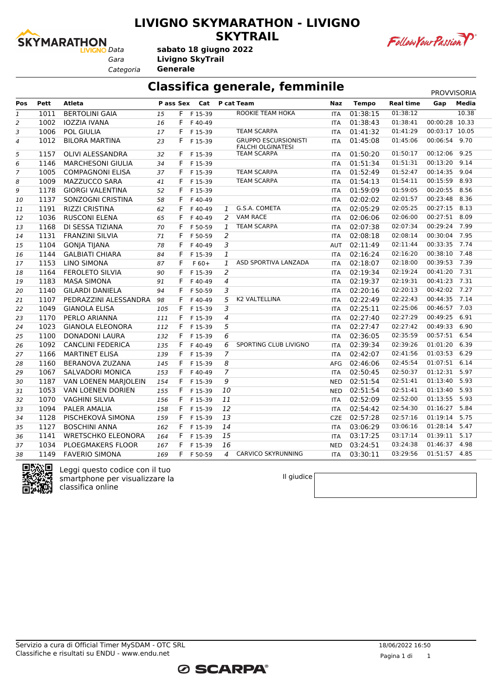

### **LIVIGNO SKYMARATHON - LIVIGNO SKYTRAIL**



Follow Your Passion P

*Categoria* **Generale**

### **Classifica generale, femminile** PROVVISORIA

| Pett<br><b>Atleta</b><br>P ass Sex<br>Cat<br>P cat Team<br><b>Tempo</b><br><b>Real time</b><br>Media<br>Pos<br>Naz<br>Gap<br>01:38:12<br>10.38<br><b>BERTOLINI GAIA</b><br>ROOKIE TEAM HOKA<br>1011<br>F.<br>F 15-39<br>01:38:15<br>1<br>15<br><b>ITA</b><br>00:00:28 10.33<br>01:38:41<br>1002<br><b>IOZZIA IVANA</b><br>01:38:43<br>16<br>F.<br>2<br>F40-49<br><b>ITA</b><br>00:03:17 10.05<br>1006<br><b>POL GIULIA</b><br>17<br>F.<br><b>TEAM SCARPA</b><br>01:41:32<br>01:41:29<br>3<br>F 15-39<br><b>ITA</b><br><b>GRUPPO ESCURSIONISTI</b><br>01:45:06<br>00:06:54 9.70<br>01:45:08<br>1012<br><b>BILORA MARTINA</b><br>F.<br>4<br>23<br>F 15-39<br><b>ITA</b><br><b>FALCHI OLGINATESI</b><br>01:50:20<br>01:50:17<br>00:12:06<br>9.25<br>5<br>1157<br>OLIVI ALESSANDRA<br><b>TEAM SCARPA</b><br>32<br>F.<br>F 15-39<br><b>ITA</b><br>01:51:31<br>00:13:20<br>9.14<br>01:51:34<br>6<br>1146<br><b>MARCHESONI GIULIA</b><br>34<br>F.<br>F 15-39<br><b>ITA</b><br><b>TEAM SCARPA</b><br>01:52:47<br>00:14:35 9.04<br>7<br>1005<br>01:52:49<br><b>COMPAGNONI ELISA</b><br>37<br>F<br>F 15-39<br><b>ITA</b><br>00:15:59 8.93<br>1009<br><b>MAZZUCCO SARA</b><br><b>TEAM SCARPA</b><br>01:54:13<br>01:54:11<br>8<br>F.<br>41<br>F 15-39<br><b>ITA</b><br>00:20:55 8.56<br>01:59:05<br>1178<br>01:59:09<br>9<br><b>GIORGI VALENTINA</b><br>F<br>F 15-39<br>52<br><b>ITA</b><br>02:01:57<br>00:23:48 8.36<br>1137<br>SONZOGNI CRISTINA<br>F<br>02:02:02<br>58<br>F40-49<br><b>ITA</b><br>10<br>00:27:15 8.13<br>1191<br>G.S.A. COMETA<br>02:05:29<br>02:05:25<br><b>RIZZI CRISTINA</b><br>F<br>F40-49<br>$\mathbf{1}$<br>62<br><b>ITA</b><br>11<br><b>VAM RACE</b><br>02:06:00<br>00:27:51 8.09<br>1036<br><b>RUSCONI ELENA</b><br>F<br>2<br>02:06:06<br>65<br>F40-49<br>12<br><b>ITA</b><br>00:29:24 7.99<br>1168<br>DI SESSA TIZIANA<br><b>TEAM SCARPA</b><br>02:07:38<br>02:07:34<br>F<br>F 50-59<br>70<br>1<br><b>ITA</b><br>13 |  |
|-------------------------------------------------------------------------------------------------------------------------------------------------------------------------------------------------------------------------------------------------------------------------------------------------------------------------------------------------------------------------------------------------------------------------------------------------------------------------------------------------------------------------------------------------------------------------------------------------------------------------------------------------------------------------------------------------------------------------------------------------------------------------------------------------------------------------------------------------------------------------------------------------------------------------------------------------------------------------------------------------------------------------------------------------------------------------------------------------------------------------------------------------------------------------------------------------------------------------------------------------------------------------------------------------------------------------------------------------------------------------------------------------------------------------------------------------------------------------------------------------------------------------------------------------------------------------------------------------------------------------------------------------------------------------------------------------------------------------------------------------------------------------------------------------------------------------------------------------------------------------------------------------------------------------------------|--|
|                                                                                                                                                                                                                                                                                                                                                                                                                                                                                                                                                                                                                                                                                                                                                                                                                                                                                                                                                                                                                                                                                                                                                                                                                                                                                                                                                                                                                                                                                                                                                                                                                                                                                                                                                                                                                                                                                                                                     |  |
|                                                                                                                                                                                                                                                                                                                                                                                                                                                                                                                                                                                                                                                                                                                                                                                                                                                                                                                                                                                                                                                                                                                                                                                                                                                                                                                                                                                                                                                                                                                                                                                                                                                                                                                                                                                                                                                                                                                                     |  |
|                                                                                                                                                                                                                                                                                                                                                                                                                                                                                                                                                                                                                                                                                                                                                                                                                                                                                                                                                                                                                                                                                                                                                                                                                                                                                                                                                                                                                                                                                                                                                                                                                                                                                                                                                                                                                                                                                                                                     |  |
|                                                                                                                                                                                                                                                                                                                                                                                                                                                                                                                                                                                                                                                                                                                                                                                                                                                                                                                                                                                                                                                                                                                                                                                                                                                                                                                                                                                                                                                                                                                                                                                                                                                                                                                                                                                                                                                                                                                                     |  |
|                                                                                                                                                                                                                                                                                                                                                                                                                                                                                                                                                                                                                                                                                                                                                                                                                                                                                                                                                                                                                                                                                                                                                                                                                                                                                                                                                                                                                                                                                                                                                                                                                                                                                                                                                                                                                                                                                                                                     |  |
|                                                                                                                                                                                                                                                                                                                                                                                                                                                                                                                                                                                                                                                                                                                                                                                                                                                                                                                                                                                                                                                                                                                                                                                                                                                                                                                                                                                                                                                                                                                                                                                                                                                                                                                                                                                                                                                                                                                                     |  |
|                                                                                                                                                                                                                                                                                                                                                                                                                                                                                                                                                                                                                                                                                                                                                                                                                                                                                                                                                                                                                                                                                                                                                                                                                                                                                                                                                                                                                                                                                                                                                                                                                                                                                                                                                                                                                                                                                                                                     |  |
|                                                                                                                                                                                                                                                                                                                                                                                                                                                                                                                                                                                                                                                                                                                                                                                                                                                                                                                                                                                                                                                                                                                                                                                                                                                                                                                                                                                                                                                                                                                                                                                                                                                                                                                                                                                                                                                                                                                                     |  |
|                                                                                                                                                                                                                                                                                                                                                                                                                                                                                                                                                                                                                                                                                                                                                                                                                                                                                                                                                                                                                                                                                                                                                                                                                                                                                                                                                                                                                                                                                                                                                                                                                                                                                                                                                                                                                                                                                                                                     |  |
|                                                                                                                                                                                                                                                                                                                                                                                                                                                                                                                                                                                                                                                                                                                                                                                                                                                                                                                                                                                                                                                                                                                                                                                                                                                                                                                                                                                                                                                                                                                                                                                                                                                                                                                                                                                                                                                                                                                                     |  |
|                                                                                                                                                                                                                                                                                                                                                                                                                                                                                                                                                                                                                                                                                                                                                                                                                                                                                                                                                                                                                                                                                                                                                                                                                                                                                                                                                                                                                                                                                                                                                                                                                                                                                                                                                                                                                                                                                                                                     |  |
|                                                                                                                                                                                                                                                                                                                                                                                                                                                                                                                                                                                                                                                                                                                                                                                                                                                                                                                                                                                                                                                                                                                                                                                                                                                                                                                                                                                                                                                                                                                                                                                                                                                                                                                                                                                                                                                                                                                                     |  |
|                                                                                                                                                                                                                                                                                                                                                                                                                                                                                                                                                                                                                                                                                                                                                                                                                                                                                                                                                                                                                                                                                                                                                                                                                                                                                                                                                                                                                                                                                                                                                                                                                                                                                                                                                                                                                                                                                                                                     |  |
|                                                                                                                                                                                                                                                                                                                                                                                                                                                                                                                                                                                                                                                                                                                                                                                                                                                                                                                                                                                                                                                                                                                                                                                                                                                                                                                                                                                                                                                                                                                                                                                                                                                                                                                                                                                                                                                                                                                                     |  |
| 1131<br>2<br>02:08:14<br>00:30:04<br>7.95<br><b>FRANZINI SILVIA</b><br>F<br>02:08:18<br>F 50-59<br>14<br>71<br><b>ITA</b>                                                                                                                                                                                                                                                                                                                                                                                                                                                                                                                                                                                                                                                                                                                                                                                                                                                                                                                                                                                                                                                                                                                                                                                                                                                                                                                                                                                                                                                                                                                                                                                                                                                                                                                                                                                                           |  |
| 00:33:35<br>7.74<br>02:11:44<br>1104<br>3<br>02:11:49<br><b>GONJA TIJANA</b><br>F<br>F40-49<br>15<br>78<br><b>AUT</b>                                                                                                                                                                                                                                                                                                                                                                                                                                                                                                                                                                                                                                                                                                                                                                                                                                                                                                                                                                                                                                                                                                                                                                                                                                                                                                                                                                                                                                                                                                                                                                                                                                                                                                                                                                                                               |  |
| 7.48<br>$\mathbf{1}$<br>02:16:20<br>00:38:10<br>1144<br><b>GALBIATI CHIARA</b><br>F<br>02:16:24<br>84<br>F 15-39<br>16<br><b>ITA</b>                                                                                                                                                                                                                                                                                                                                                                                                                                                                                                                                                                                                                                                                                                                                                                                                                                                                                                                                                                                                                                                                                                                                                                                                                                                                                                                                                                                                                                                                                                                                                                                                                                                                                                                                                                                                |  |
| 00:39:53 7.39<br>1153<br><b>LINO SIMONA</b><br>F<br>1<br>ASD SPORTIVA LANZADA<br>02:18:07<br>02:18:00<br>87<br>$F60+$<br>17<br><b>ITA</b>                                                                                                                                                                                                                                                                                                                                                                                                                                                                                                                                                                                                                                                                                                                                                                                                                                                                                                                                                                                                                                                                                                                                                                                                                                                                                                                                                                                                                                                                                                                                                                                                                                                                                                                                                                                           |  |
| 00:41:20 7.31<br>$\overline{a}$<br>02:19:24<br>1164<br><b>FEROLETO SILVIA</b><br>F<br>02:19:34<br>90<br>F 15-39<br>18<br><b>ITA</b>                                                                                                                                                                                                                                                                                                                                                                                                                                                                                                                                                                                                                                                                                                                                                                                                                                                                                                                                                                                                                                                                                                                                                                                                                                                                                                                                                                                                                                                                                                                                                                                                                                                                                                                                                                                                 |  |
| 00:41:23 7.31<br>1183<br>$\overline{4}$<br>02:19:37<br>02:19:31<br><b>MASA SIMONA</b><br>F<br>F40-49<br>19<br>91<br><b>ITA</b>                                                                                                                                                                                                                                                                                                                                                                                                                                                                                                                                                                                                                                                                                                                                                                                                                                                                                                                                                                                                                                                                                                                                                                                                                                                                                                                                                                                                                                                                                                                                                                                                                                                                                                                                                                                                      |  |
| 3<br>00:42:02 7.27<br>1140<br>02:20:16<br>02:20:13<br><b>GILARDI DANIELA</b><br>F<br>94<br>F 50-59<br>20<br><b>ITA</b>                                                                                                                                                                                                                                                                                                                                                                                                                                                                                                                                                                                                                                                                                                                                                                                                                                                                                                                                                                                                                                                                                                                                                                                                                                                                                                                                                                                                                                                                                                                                                                                                                                                                                                                                                                                                              |  |
| 00:44:35<br>7.14<br>5<br><b>K2 VALTELLINA</b><br>02:22:43<br>1107<br>F<br>02:22:49<br>PEDRAZZINI ALESSANDRA<br>F40-49<br>98<br><b>ITA</b><br>21                                                                                                                                                                                                                                                                                                                                                                                                                                                                                                                                                                                                                                                                                                                                                                                                                                                                                                                                                                                                                                                                                                                                                                                                                                                                                                                                                                                                                                                                                                                                                                                                                                                                                                                                                                                     |  |
| 3<br>00:46:57 7.03<br>1049<br>02:25:11<br>02:25:06<br><b>GIANOLA ELISA</b><br>F.<br>F 15-39<br>22<br>105<br><b>ITA</b>                                                                                                                                                                                                                                                                                                                                                                                                                                                                                                                                                                                                                                                                                                                                                                                                                                                                                                                                                                                                                                                                                                                                                                                                                                                                                                                                                                                                                                                                                                                                                                                                                                                                                                                                                                                                              |  |
| $\overline{4}$<br>02:27:40<br>02:27:29<br>00:49:25<br>6.91<br>1170<br>PERLO ARIANNA<br>F.<br>23<br>111<br>F 15-39<br><b>ITA</b>                                                                                                                                                                                                                                                                                                                                                                                                                                                                                                                                                                                                                                                                                                                                                                                                                                                                                                                                                                                                                                                                                                                                                                                                                                                                                                                                                                                                                                                                                                                                                                                                                                                                                                                                                                                                     |  |
| 00:49:33 6.90<br>02:27:42<br>1023<br>5<br>02:27:47<br><b>GIANOLA ELEONORA</b><br>112<br>F F 15-39<br>24<br><b>ITA</b>                                                                                                                                                                                                                                                                                                                                                                                                                                                                                                                                                                                                                                                                                                                                                                                                                                                                                                                                                                                                                                                                                                                                                                                                                                                                                                                                                                                                                                                                                                                                                                                                                                                                                                                                                                                                               |  |
| 6<br>02:35:59<br>00:57:51 6.54<br>1100<br><b>DONADONI LAURA</b><br>F F 15-39<br>02:36:05<br>25<br>132<br><b>ITA</b>                                                                                                                                                                                                                                                                                                                                                                                                                                                                                                                                                                                                                                                                                                                                                                                                                                                                                                                                                                                                                                                                                                                                                                                                                                                                                                                                                                                                                                                                                                                                                                                                                                                                                                                                                                                                                 |  |
| 01:01:20 6.39<br>1092<br>6<br>SPORTING CLUB LIVIGNO<br>02:39:34<br>02:39:26<br><b>CANCLINI FEDERICA</b><br>135<br>F.<br>F40-49<br>26<br><b>ITA</b>                                                                                                                                                                                                                                                                                                                                                                                                                                                                                                                                                                                                                                                                                                                                                                                                                                                                                                                                                                                                                                                                                                                                                                                                                                                                                                                                                                                                                                                                                                                                                                                                                                                                                                                                                                                  |  |
| 02:41:56<br>01:03:53 6.29<br>$\overline{7}$<br>1166<br><b>MARTINET ELISA</b><br>02:42:07<br>27<br>139<br>F F 15-39<br><b>ITA</b>                                                                                                                                                                                                                                                                                                                                                                                                                                                                                                                                                                                                                                                                                                                                                                                                                                                                                                                                                                                                                                                                                                                                                                                                                                                                                                                                                                                                                                                                                                                                                                                                                                                                                                                                                                                                    |  |
| 8<br>01:07:51 6.14<br>1160<br>BERANOVA ZUZANA<br>02:46:06<br>02:45:54<br>145<br>F F 15-39<br>28<br>AFG                                                                                                                                                                                                                                                                                                                                                                                                                                                                                                                                                                                                                                                                                                                                                                                                                                                                                                                                                                                                                                                                                                                                                                                                                                                                                                                                                                                                                                                                                                                                                                                                                                                                                                                                                                                                                              |  |
| $\overline{7}$<br>02:50:37<br>01:12:31 5.97<br>1067<br>02:50:45<br><b>SALVADORI MONICA</b><br>F F 40-49<br>153<br><b>ITA</b><br>29                                                                                                                                                                                                                                                                                                                                                                                                                                                                                                                                                                                                                                                                                                                                                                                                                                                                                                                                                                                                                                                                                                                                                                                                                                                                                                                                                                                                                                                                                                                                                                                                                                                                                                                                                                                                  |  |
| 5.93<br>02:51:41<br>01:13:40<br>1187<br>9<br>02:51:54<br>VAN LOENEN MARJOLEIN<br>154<br>F F 15-39<br><b>NED</b><br>30                                                                                                                                                                                                                                                                                                                                                                                                                                                                                                                                                                                                                                                                                                                                                                                                                                                                                                                                                                                                                                                                                                                                                                                                                                                                                                                                                                                                                                                                                                                                                                                                                                                                                                                                                                                                               |  |
| 5.93<br>1053<br>02:51:41<br>01:13:40<br><b>VAN LOENEN DORIEN</b><br>10<br>02:51:54<br>155<br>F F 15-39<br>31<br><b>NED</b>                                                                                                                                                                                                                                                                                                                                                                                                                                                                                                                                                                                                                                                                                                                                                                                                                                                                                                                                                                                                                                                                                                                                                                                                                                                                                                                                                                                                                                                                                                                                                                                                                                                                                                                                                                                                          |  |
| 01:13:55 5.93<br>02:52:00<br>1070<br><b>VAGHINI SILVIA</b><br>11<br>02:52:09<br>156<br>F F 15-39<br>32<br><b>ITA</b>                                                                                                                                                                                                                                                                                                                                                                                                                                                                                                                                                                                                                                                                                                                                                                                                                                                                                                                                                                                                                                                                                                                                                                                                                                                                                                                                                                                                                                                                                                                                                                                                                                                                                                                                                                                                                |  |
| 01:16:27 5.84<br>02:54:30<br>1094<br>F F 15-39<br>12<br>02:54:42<br>PALER AMALIA<br>158<br>33<br><b>ITA</b>                                                                                                                                                                                                                                                                                                                                                                                                                                                                                                                                                                                                                                                                                                                                                                                                                                                                                                                                                                                                                                                                                                                                                                                                                                                                                                                                                                                                                                                                                                                                                                                                                                                                                                                                                                                                                         |  |
| 1128<br>PISCHEKOVÁ SIMONA<br>02:57:28<br>02:57:16<br>01:19:14<br>5.75<br>159<br>F F 15-39<br>13<br><b>CZE</b><br>34                                                                                                                                                                                                                                                                                                                                                                                                                                                                                                                                                                                                                                                                                                                                                                                                                                                                                                                                                                                                                                                                                                                                                                                                                                                                                                                                                                                                                                                                                                                                                                                                                                                                                                                                                                                                                 |  |
| 03:06:16<br>01:28:14<br>5.47<br>1127<br><b>BOSCHINI ANNA</b><br>F F 15-39<br>14<br>03:06:29<br>35<br>162<br><b>ITA</b>                                                                                                                                                                                                                                                                                                                                                                                                                                                                                                                                                                                                                                                                                                                                                                                                                                                                                                                                                                                                                                                                                                                                                                                                                                                                                                                                                                                                                                                                                                                                                                                                                                                                                                                                                                                                              |  |
| 03:17:14<br>01:39:11<br>5.17<br>1141<br>15<br>03:17:25<br><b>WRETSCHKO ELEONORA</b><br>F F 15-39<br>36<br>164<br><b>ITA</b>                                                                                                                                                                                                                                                                                                                                                                                                                                                                                                                                                                                                                                                                                                                                                                                                                                                                                                                                                                                                                                                                                                                                                                                                                                                                                                                                                                                                                                                                                                                                                                                                                                                                                                                                                                                                         |  |
| 1034<br><b>PLOEGMAKERS FLOOR</b><br>16<br>03:24:51<br>03:24:38<br>01:46:37<br>4.98<br>F<br>F 15-39<br>37<br>167<br><b>NED</b>                                                                                                                                                                                                                                                                                                                                                                                                                                                                                                                                                                                                                                                                                                                                                                                                                                                                                                                                                                                                                                                                                                                                                                                                                                                                                                                                                                                                                                                                                                                                                                                                                                                                                                                                                                                                       |  |
| CARVICO SKYRUNNING<br>03:29:56<br>01:51:57 4.85<br>1149<br><b>FAVERIO SIMONA</b><br>F F 50-59<br>$\overline{4}$<br>03:30:11<br>38<br>169<br><b>ITA</b>                                                                                                                                                                                                                                                                                                                                                                                                                                                                                                                                                                                                                                                                                                                                                                                                                                                                                                                                                                                                                                                                                                                                                                                                                                                                                                                                                                                                                                                                                                                                                                                                                                                                                                                                                                              |  |



Leggi questo codice con il tuo smartphone per visualizzare la classifica online

Il giudice

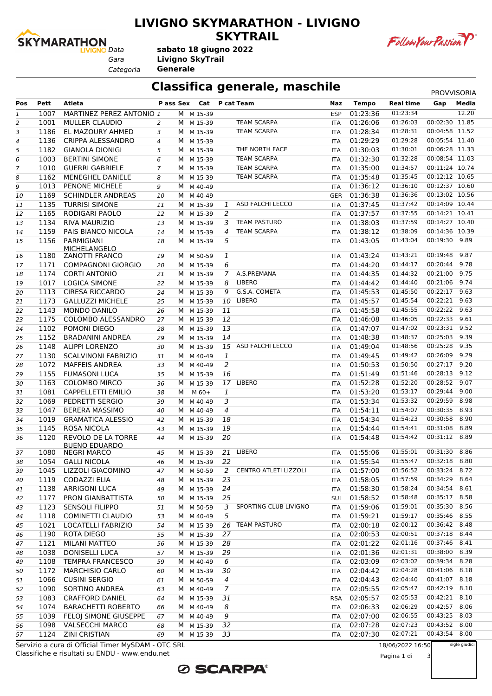

#### **LIVIGNO SKYMARATHON - LIVIGNO SKYTRAIL**



Follow Your Passion P

*Categoria* **Generale**

## **Classifica generale, maschile** PROVVISORIA

| Pos            | Pett | Atleta                                             |                |   | Pass Sex Cat P cat Team |                |                              | Naz        | <b>Tempo</b> | <b>Real time</b> | Gap            | Media         |
|----------------|------|----------------------------------------------------|----------------|---|-------------------------|----------------|------------------------------|------------|--------------|------------------|----------------|---------------|
| $\mathbf{1}$   | 1007 | MARTINEZ PEREZ ANTONIO 1                           |                |   | M M 15-39               |                |                              | <b>ESP</b> | 01:23:36     | 01:23:34         |                | 12.20         |
| 2              | 1001 | <b>MULLER CLAUDIO</b>                              | 2              |   | M M 15-39               |                | <b>TEAM SCARPA</b>           | ITA        | 01:26:06     | 01:26:03         | 00:02:30 11.85 |               |
| 3              | 1186 | EL MAZOURY AHMED                                   | 3              |   | M M 15-39               |                | <b>TEAM SCARPA</b>           | ITA        | 01:28:34     | 01:28:31         | 00:04:58 11.52 |               |
| 4              | 1136 | CRIPPA ALESSANDRO                                  | 4              |   | M M 15-39               |                |                              | ITA        | 01:29:29     | 01:29:28         | 00:05:54 11.40 |               |
| 5              | 1182 | <b>GIANOLA DIONIGI</b>                             | 5              |   | M M 15-39               |                | THE NORTH FACE               | ITA        | 01:30:03     | 01:30:01         | 00:06:28 11.33 |               |
| 6              | 1003 | <b>BERTINI SIMONE</b>                              | 6              | M | M 15-39                 |                | <b>TEAM SCARPA</b>           | ITA        | 01:32:30     | 01:32:28         | 00:08:54 11.03 |               |
| $\overline{7}$ | 1010 | <b>GUERRI GABRIELE</b>                             | $\overline{7}$ | м | M 15-39                 |                | <b>TEAM SCARPA</b>           | ITA        | 01:35:00     | 01:34:57         | 00:11:24 10.74 |               |
| 8              | 1162 | MENEGHEL DANIELE                                   | 8              |   | M M 15-39               |                | <b>TEAM SCARPA</b>           | ITA        | 01:35:48     | 01:35:45         | 00:12:12 10.65 |               |
| 9              | 1013 | PENONE MICHELE                                     | 9              | м | M 40-49                 |                |                              | <b>ITA</b> | 01:36:12     | 01:36:10         | 00:12:37 10.60 |               |
| 10             | 1169 | <b>SCHINDLER ANDREAS</b>                           | 10             | M | M 40-49                 |                |                              | GER        | 01:36:38     | 01:36:36         | 00:13:02 10.56 |               |
| 11             | 1135 | <b>TURRISI SIMONE</b>                              | 11             |   | M M 15-39               | 1              | ASD FALCHI LECCO             | ITA        | 01:37:45     | 01:37:42         | 00:14:09 10.44 |               |
| 12             | 1165 | RODIGARI PAOLO                                     | 12             |   | M M 15-39               | 2              |                              | <b>ITA</b> | 01:37:57     | 01:37:55         | 00:14:21 10.41 |               |
| 13             | 1134 | RIVA MAURIZIO                                      | 13             | М | M 15-39                 | 3              | <b>TEAM PASTURO</b>          | ITA        | 01:38:03     | 01:37:59         | 00:14:27 10.40 |               |
| 14             | 1159 | PAIS BIANCO NICOLA                                 | 14             |   | M M 15-39               | 4              | <b>TEAM SCARPA</b>           | ITA        | 01:38:12     | 01:38:09         | 00:14:36 10.39 |               |
| 15             | 1156 | PARMIGIANI<br><b>MICHELANGELO</b>                  | 18             |   | M M 15-39               | 5              |                              | <b>ITA</b> | 01:43:05     | 01:43:04         | 00:19:30 9.89  |               |
| 16             | 1180 | <b>ZANOTTI FRANCO</b>                              | 19             |   | M M 50-59               | 1              |                              | <b>ITA</b> | 01:43:24     | 01:43:21         | 00:19:48       | 9.87          |
| 17             | 1171 | COMPAGNONI GIORGIO                                 | 20             |   | M M 15-39               | 6              |                              | ITA        | 01:44:20     | 01:44:17         | 00:20:44 9.78  |               |
| 18             | 1174 | <b>CORTI ANTONIO</b>                               | 21             |   | M M 15-39               | $\overline{7}$ | A.S.PREMANA                  | ITA        | 01:44:35     | 01:44:32         | 00:21:00 9.75  |               |
| 19             | 1017 | <b>LOGICA SIMONE</b>                               | 22             |   | M M 15-39               | 8              | LIBERO                       | <b>ITA</b> | 01:44:42     | 01:44:40         | 00:21:06       | 9.74          |
| 20             | 1113 | <b>CIRESA RICCARDO</b>                             | 24             | M | M 15-39                 | 9              | G.S.A. COMETA                | ITA        | 01:45:53     | 01:45:50         | 00:22:17 9.63  |               |
| 21             | 1173 | <b>GALLUZZI MICHELE</b>                            | 25             |   | M M 15-39               | 10             | LIBERO                       | ITA        | 01:45:57     | 01:45:54         | 00:22:21 9.63  |               |
| 22             | 1143 | <b>MONDO DANILO</b>                                | 26             |   | M M 15-39               | 11             |                              | <b>ITA</b> | 01:45:58     | 01:45:55         | 00:22:22 9.63  |               |
| 23             | 1175 | COLOMBO ALESSANDRO                                 | 27             |   | M M 15-39               | 12             |                              | ITA        | 01:46:08     | 01:46:05         | 00:22:33 9.61  |               |
| 24             | 1102 | POMONI DIEGO                                       | 28             |   | M M 15-39               | 13             |                              | ITA        | 01:47:07     | 01:47:02         | 00:23:31 9.52  |               |
| 25             | 1152 | <b>BRADANINI ANDREA</b>                            | 29             |   | M M 15-39               | 14             |                              | <b>ITA</b> | 01:48:38     | 01:48:37         | 00:25:03 9.39  |               |
| 26             | 1148 | <b>ALIPPI LORENZO</b>                              | 30             | М | M 15-39                 |                | 15 ASD FALCHI LECCO          | ITA        | 01:49:04     | 01:48:56         | 00:25:28 9.35  |               |
| 27             | 1130 | <b>SCALVINONI FABRIZIO</b>                         | 31             |   | M M 40-49               | 1              |                              | <b>ITA</b> | 01:49:45     | 01:49:42         | 00:26:09 9.29  |               |
| 28             | 1072 | <b>MAFFEIS ANDREA</b>                              | 33             |   | M M 40-49               | 2              |                              | <b>ITA</b> | 01:50:53     | 01:50:50         | 00:27:17 9.20  |               |
| 29             | 1155 | <b>FUMASONI LUCA</b>                               | 35             |   | M M 15-39               | 16             |                              | ITA        | 01:51:49     | 01:51:46         | 00:28:13 9.12  |               |
| 30             | 1163 | <b>COLOMBO MIRCO</b>                               | 36             |   | M M 15-39               |                | 17 LIBERO                    | ITA        | 01:52:28     | 01:52:20         | 00:28:52 9.07  |               |
| 31             | 1081 | CAPPELLETTI EMILIO                                 | 38             | м | $M$ 60+                 | 1              |                              | <b>ITA</b> | 01:53:20     | 01:53:17         | 00:29:44       | 9.00          |
| 32             | 1069 | PEDRETTI SERGIO                                    | 39             | M | M 40-49                 | 3              |                              | ITA        | 01:53:34     | 01:53:32         | 00:29:59 8.98  |               |
| 33             | 1047 | <b>BERERA MASSIMO</b>                              | 40             |   | M M 40-49               | $\overline{4}$ |                              | <b>ITA</b> | 01:54:11     | 01:54:07         | 00:30:35 8.93  |               |
| 34             | 1019 | <b>GRAMATICA ALESSIO</b>                           | 42             |   | M M 15-39               | 18             |                              | <b>ITA</b> | 01:54:34     | 01:54:23         | 00:30:58       | 8.90          |
| 35             | 1145 | ROSA NICOLA                                        | 43             | M | M 15-39                 | 19             |                              | ITA        | 01:54:44     | 01:54:41         | 00:31:08       | 8.89          |
| 36             | 1120 | REVOLO DE LA TORRE<br><b>BUENO EDUARDO</b>         | 44             |   | M M 15-39               | 20             |                              | ITA        | 01:54:48     | 01:54:42         | 00:31:12 8.89  |               |
| 37             | 1080 | <b>NEGRI MARCO</b>                                 | 45             |   | M M 15-39               |                | 21 LIBERO                    | <b>ITA</b> | 01:55:06     | 01:55:01         | 00:31:30       | 8.86          |
| 38             | 1054 | <b>GALLI NICOLA</b>                                | 46             |   | M M 15-39               | 22             |                              | <b>ITA</b> | 01:55:54     | 01:55:47         | 00:32:18 8.80  |               |
| 39             |      | 1045 LIZZOLI GIACOMINO                             | 47             |   | M M 50-59               | 2              | <b>CENTRO ATLETI LIZZOLI</b> | ITA        | 01:57:00     | 01:56:52         | 00:33:24 8.72  |               |
| 40             | 1119 | <b>CODAZZI ELIA</b>                                | 48             |   | M M 15-39               | 23             |                              | <b>ITA</b> | 01:58:05     | 01:57:59         | 00:34:29 8.64  |               |
| 41             | 1138 | <b>ARRIGONI LUCA</b>                               | 49             |   | M M 15-39               | 24             |                              | ITA        | 01:58:30     | 01:58:24         | 00:34:54 8.61  |               |
| 42             | 1177 | PRON GIANBATTISTA                                  | 50             |   | M M 15-39               | 25             |                              | <b>SUI</b> | 01:58:52     | 01:58:48         | 00:35:17 8.58  |               |
| 43             | 1123 | <b>SENSOLI FILIPPO</b>                             | 51             |   | M M 50-59               | 3              | SPORTING CLUB LIVIGNO        | ITA        | 01:59:06     | 01:59:01         | 00:35:30 8.56  |               |
| 44             | 1118 | COMINETTI CLAUDIO                                  | 53             |   | M M 40-49               | 5              |                              | ITA        | 01:59:21     | 01:59:17         | 00:35:46 8.55  |               |
| 45             | 1021 | <b>LOCATELLI FABRIZIO</b>                          | 54             |   | M M 15-39               |                | 26 TEAM PASTURO              | ITA        | 02:00:18     | 02:00:12         | 00:36:42 8.48  |               |
| 46             | 1190 | ROTA DIEGO                                         | 55             |   | M M 15-39               | 27             |                              | ITA        | 02:00:53     | 02:00:51         | 00:37:18 8.44  |               |
| 47             | 1121 | <b>MILANI MATTEO</b>                               | 56             |   | M M 15-39               | 28             |                              | <b>ITA</b> | 02:01:22     | 02:01:16         | 00:37:46 8.41  |               |
| 48             | 1038 | DONISELLI LUCA                                     | 57             |   | M M 15-39               | 29             |                              | ITA        | 02:01:36     | 02:01:31         | 00:38:00 8.39  |               |
| 49             |      | 1108 TEMPRA FRANCESCO                              | 59             |   | M M 40-49               | 6              |                              | ITA        | 02:03:09     | 02:03:02         | 00:39:34 8.28  |               |
| 50             | 1172 | <b>MARCHISIO CARLO</b>                             | 60             |   | M M 15-39               | 30             |                              | ITA        | 02:04:42     | 02:04:28         | 00:41:06 8.18  |               |
| 51             | 1066 | <b>CUSINI SERGIO</b>                               | 61             |   | M M 50-59               | $\overline{4}$ |                              | ITA        | 02:04:43     | 02:04:40         | 00:41:07 8.18  |               |
| 52             | 1090 | SORTINO ANDREA                                     | 63             |   | M M 40-49               | 7              |                              | ITA        | 02:05:55     | 02:05:47         | 00:42:19 8.10  |               |
| 53             | 1083 | <b>CRAFFORD DANIEL</b>                             | 64             |   | M M 15-39               | 31             |                              |            | RSA 02:05:57 | 02:05:53         | 00:42:21 8.10  |               |
| 54             | 1074 | <b>BARACHETTI ROBERTO</b>                          | 66             |   | M M 40-49               | 8              |                              | ITA        | 02:06:33     | 02:06:29         | 00:42:57 8.06  |               |
| 55             |      | 1039 FELOJ SIMONE GIUSEPPE                         | 67             |   | M M 40-49               | 9              |                              | ITA        | 02:07:00     | 02:06:55         | 00:43:25 8.03  |               |
| 56             |      | 1098 VALSECCHI MARCO                               | 68             |   | M M 15-39               | 32             |                              | <b>ITA</b> | 02:07:28     | 02:07:23         | 00:43:52 8.00  |               |
| 57             |      | 1124 ZINI CRISTIAN                                 | 69             |   | M M 15-39               | 33             |                              | <b>ITA</b> | 02:07:30     | 02:07:21         | 00:43:54 8.00  |               |
|                |      | Servizio a cura di Official Timer MySDAM - OTC SRL |                |   |                         |                |                              |            |              | 18/06/2022 16:50 |                | sigle giudici |

Classifiche e risultati su ENDU - www.endu.net Servizio a cura di Official Timer MySDAM - OTC SRL



18/06/2022 16:50

Pagina 1 di 3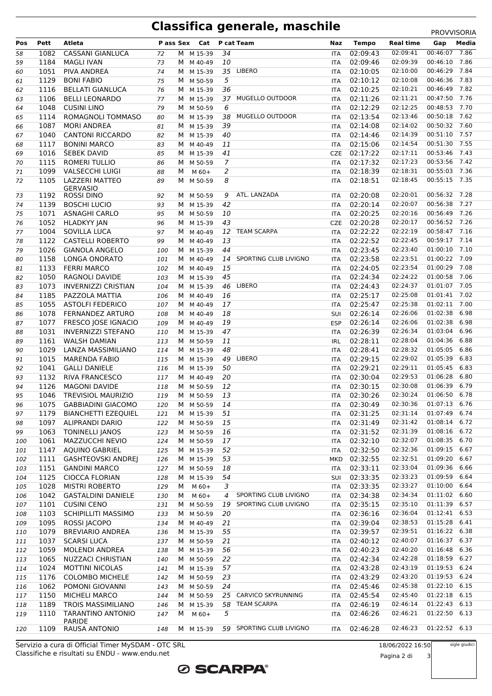## **Classifica generale, maschile** PROVVISORIA

|     |      |                                          |     |   |              |                |                          |            |              |                        | 111000000000  |       |
|-----|------|------------------------------------------|-----|---|--------------|----------------|--------------------------|------------|--------------|------------------------|---------------|-------|
| Pos | Pett | Atleta                                   |     |   | Pass Sex Cat |                | P cat Team               | Naz        | <b>Tempo</b> | <b>Real time</b>       | Gap           | Media |
| 58  | 1082 | <b>CASSANI GIANLUCA</b>                  | 72  |   | M M 15-39    | 34             |                          | ITA        | 02:09:43     | 02:09:41               | 00:46:07 7.86 |       |
| 59  | 1184 | <b>MAGLI IVAN</b>                        | 73  |   | M M 40-49    | 10             |                          | <b>ITA</b> | 02:09:46     | 02:09:39               | 00:46:10      | 7.86  |
| 60  | 1051 | PIVA ANDREA                              | 74  |   | M M 15-39    |                | 35 LIBERO                | <b>ITA</b> | 02:10:05     | 02:10:00               | 00:46:29      | 7.84  |
| 61  | 1129 | <b>BONI FABIO</b>                        | 75  |   | M M 50-59    | 5              |                          | <b>ITA</b> | 02:10:12     | 02:10:08               | 00:46:36      | 7.83  |
| 62  | 1116 | <b>BELLATI GIANLUCA</b>                  | 76  |   | M M 15-39    | 36             |                          | <b>ITA</b> | 02:10:25     | 02:10:21               | 00:46:49 7.82 |       |
|     | 1106 | <b>BELLI LEONARDO</b>                    |     |   | M M 15-39    |                | 37 MUGELLO OUTDOOR       |            | 02:11:26     | 02:11:21               | 00:47:50 7.76 |       |
| 63  |      |                                          | 77  |   |              |                |                          | <b>ITA</b> |              | 02:12:25               | 00:48:53 7.70 |       |
| 64  | 1048 | <b>CUSINI LINO</b>                       | 79  |   | M M 50-59    | 6              |                          | <b>ITA</b> | 02:12:29     |                        |               |       |
| 65  | 1114 | ROMAGNOLI TOMMASO                        | 80  |   | M M 15-39    | 38             | MUGELLO OUTDOOR          | <b>ITA</b> | 02:13:54     | 02:13:46               | 00:50:18      | 7.62  |
| 66  | 1087 | <b>MORI ANDREA</b>                       | 81  |   | M M 15-39    | 39             |                          | <b>ITA</b> | 02:14:08     | 02:14:02               | 00:50:32 7.60 |       |
| 67  | 1040 | <b>CANTONI RICCARDO</b>                  | 82  |   | M M 15-39    | 40             |                          | <b>ITA</b> | 02:14:46     | 02:14:39               | 00:51:10 7.57 |       |
| 68  | 1117 | <b>BONINI MARCO</b>                      | 83  |   | M M 40-49    | 11             |                          | ITA        | 02:15:06     | 02:14:54               | 00:51:30 7.55 |       |
| 69  | 1016 | ŠEBEK DAVID                              | 85  |   | M M 15-39    | 41             |                          | <b>CZE</b> | 02:17:22     | 02:17:11               | 00:53:46 7.43 |       |
| 70  | 1115 | <b>ROMERI TULLIO</b>                     | 86  |   | M M 50-59    | $\overline{7}$ |                          | <b>ITA</b> | 02:17:32     | 02:17:23               | 00:53:56 7.42 |       |
| 71  | 1099 | <b>VALSECCHI LUIGI</b>                   | 88  | M | $M$ 60+      | 2              |                          | <b>ITA</b> | 02:18:39     | 02:18:31               | 00:55:03 7.36 |       |
| 72  | 1105 | <b>LAZZERI MATTEO</b>                    | 89  | M | M 50-59      | 8              |                          | ITA        | 02:18:51     | 02:18:45               | 00:55:15 7.35 |       |
|     |      | <b>GERVASIO</b>                          |     |   |              |                |                          |            |              |                        |               |       |
| 73  | 1192 | <b>ROSSI DINO</b>                        | 92  | M | M 50-59      | 9              | ATL. LANZADA             | ITA        | 02:20:08     | 02:20:01               | 00:56:32 7.28 |       |
| 74  | 1139 | <b>BOSCHI LUCIO</b>                      | 93  |   | M M 15-39    | 42             |                          | <b>ITA</b> | 02:20:14     | 02:20:07               | 00:56:38      | 7.27  |
| 75  | 1071 | <b>ASNAGHI CARLO</b>                     | 95  |   | M M 50-59    | 10             |                          | <b>ITA</b> | 02:20:25     | 02:20:16               | 00:56:49 7.26 |       |
| 76  | 1052 | <b>HLADKYY JAN</b>                       | 96  |   | M M 15-39    | 43             |                          | <b>CZE</b> | 02:20:28     | 02:20:17               | 00:56:52 7.26 |       |
| 77  | 1004 | <b>SOVILLA LUCA</b>                      | 97  |   | M M 40-49    |                | 12 TEAM SCARPA           | <b>ITA</b> | 02:22:22     | 02:22:19               | 00:58:47 7.16 |       |
|     | 1122 | <b>CASTELLI ROBERTO</b>                  |     |   | M M 40-49    | 13             |                          |            | 02:22:52     | 02:22:45               | 00:59:17      | 7.14  |
| 78  |      |                                          | 99  |   |              |                |                          | <b>ITA</b> |              | 02:23:40               | 01:00:10 7.10 |       |
| 79  | 1026 | <b>GIANOLA ANGELO</b>                    | 100 | M | M 15-39      | 44             |                          | <b>ITA</b> | 02:23:45     |                        |               |       |
| 80  | 1158 | LONGA ONORATO                            | 101 |   | M M 40-49    |                | 14 SPORTING CLUB LIVIGNO | <b>ITA</b> | 02:23:58     | 02:23:51               | 01:00:22 7.09 |       |
| 81  | 1133 | <b>FERRI MARCO</b>                       | 102 |   | M M 40-49    | 15             |                          | <b>ITA</b> | 02:24:05     | 02:23:54               | 01:00:29 7.08 |       |
| 82  | 1050 | RAGNOLI DAVIDE                           | 103 |   | M M 15-39    | 45             |                          | ITA        | 02:24:34     | 02:24:22               | 01:00:58 7.06 |       |
| 83  | 1073 | <b>INVERNIZZI CRISTIAN</b>               | 104 |   | M M 15-39    |                | 46 LIBERO                | <b>ITA</b> | 02:24:43     | 02:24:37               | 01:01:07 7.05 |       |
| 84  | 1185 | PAZZOLA MATTIA                           | 106 |   | M M 40-49    | 16             |                          | <b>ITA</b> | 02:25:17     | 02:25:08               | 01:01:41 7.02 |       |
| 85  | 1055 | <b>ASTOLFI FEDERICO</b>                  | 107 | M | M 40-49      | 17             |                          | <b>ITA</b> | 02:25:47     | 02:25:38               | 01:02:11 7.00 |       |
| 86  | 1078 | FERNANDEZ ARTURO                         | 108 |   | M M 40-49    | 18             |                          | SUI        | 02:26:14     | 02:26:06               | 01:02:38      | 6.98  |
| 87  | 1077 | FRESCO JOSE IGNACIO                      | 109 |   | M M 40-49    | 19             |                          | <b>ESP</b> | 02:26:14     | 02:26:06               | 01:02:38      | 6.98  |
| 88  | 1031 | <b>INVERNIZZI STEFANO</b>                | 110 |   | M M 15-39    | 47             |                          | ITA        | 02:26:39     | 02:26:34               | 01:03:04      | 6.96  |
| 89  | 1161 | <b>WALSH DAMIAN</b>                      | 113 |   | M M 50-59    | 11             |                          | IRL        | 02:28:11     | 02:28:04               | 01:04:36      | 6.88  |
|     | 1029 | LANZA MASSIMILIANO                       |     |   |              | 48             |                          |            | 02:28:41     | 02:28:32               | 01:05:05      | 6.86  |
| 90  |      |                                          | 114 |   | M M 15-39    |                |                          | <b>ITA</b> |              | 02:29:02               |               |       |
| 91  | 1015 | <b>MARENDA FABIO</b>                     | 115 | M | M 15-39      |                | 49 LIBERO                | ITA        | 02:29:15     |                        | 01:05:39      | 6.83  |
| 92  | 1041 | <b>GALLI DANIELE</b>                     | 116 |   | M M 15-39    | 50             |                          | ITA        | 02:29:21     | 02:29:11               | 01:05:45 6.83 |       |
| 93  | 1132 | <b>RIVA FRANCESCO</b>                    | 117 |   | M M 40-49    | 20             |                          | ITA        | 02:30:04     | 02:29:53               | 01:06:28      | 6.80  |
| 94  | 1126 | <b>MAGONI DAVIDE</b>                     | 118 |   | M M 50-59    | 12             |                          | <b>ITA</b> | 02:30:15     | 02:30:08               | 01:06:39      | 6.79  |
| 95  | 1046 | TREVISIOL MAURIZIO                       | 119 |   | M M 50-59    | 13             |                          | <b>ITA</b> | 02:30:26     | 02:30:24               | 01:06:50 6.78 |       |
| 96  |      | 1075 GABBIADINI GIACOMO 120 M M 50-59 14 |     |   |              |                |                          |            | ITA 02:30:49 | 02:30:36 01:07:13 6.76 |               |       |
| 97  | 1179 | <b>BIANCHETTI EZEQUIEL</b>               | 121 |   | M M 15-39    | 51             |                          | ITA        | 02:31:25     | 02:31:14               | 01:07:49 6.74 |       |
| 98  | 1097 | <b>ALIPRANDI DARIO</b>                   | 122 |   | M M 50-59    | 15             |                          | ITA        | 02:31:49     | 02:31:42               | 01:08:14 6.72 |       |
| 99  | 1063 | <b>TONINELLI JANOS</b>                   | 123 |   | M M 50-59    | 16             |                          | ITA        | 02:31:52     | 02:31:39               | 01:08:16      | 6.72  |
| 100 | 1061 | MAZZUCCHI NEVIO                          | 124 |   | M M 50-59    | 17             |                          | ITA        | 02:32:10     | 02:32:07               | 01:08:35 6.70 |       |
| 101 | 1147 | <b>AQUINO GABRIEL</b>                    | 125 |   | M M 15-39    | 52             |                          | ITA        | 02:32:50     | 02:32:36               | 01:09:15 6.67 |       |
| 102 | 1111 | <b>GASHTEOVSKI ANDREJ</b>                | 126 |   | M M 15-39    | 53             |                          |            | MKD 02:32:55 | 02:32:51               | 01:09:20      | 6.67  |
|     | 1151 |                                          |     |   |              | 18             |                          |            |              | 02:33:04               | 01:09:36      | 6.66  |
| 103 |      | <b>GANDINI MARCO</b>                     | 127 | M | M 50-59      |                |                          | ITA        | 02:33:11     |                        |               |       |
| 104 | 1125 | <b>CIOCCA FLORIAN</b>                    | 128 | м | M 15-39      | 54             |                          | SUI        | 02:33:35     | 02:33:23               | 01:09:59 6.64 |       |
| 105 | 1028 | <b>MISTRI ROBERTO</b>                    | 129 | м | M 60+        | 3              |                          | ITA        | 02:33:35     | 02:33:27               | 01:10:00 6.64 |       |
| 106 | 1042 | <b>GASTALDINI DANIELE</b>                | 130 | м | M 60+        | 4              | SPORTING CLUB LIVIGNO    | ITA        | 02:34:38     | 02:34:34               | 01:11:02 6.60 |       |
| 107 | 1101 | <b>CUSINI CENO</b>                       | 131 |   | M M 50-59    | 19             | SPORTING CLUB LIVIGNO    | ITA        | 02:35:15     | 02:35:10               | 01:11:39 6.57 |       |
| 108 | 1103 | SCHIPILLITI MASSIMO                      | 133 |   | M M 50-59    | 20             |                          | ITA        | 02:36:16     | 02:36:04               | 01:12:41 6.53 |       |
| 109 | 1095 | ROSSI JACOPO                             | 134 |   | M M 40-49    | 21             |                          | ITA        | 02:39:04     | 02:38:53               | 01:15:28 6.41 |       |
| 110 | 1079 | <b>BREVIARIO ANDREA</b>                  | 136 | M | M 15-39      | 55             |                          | ITA        | 02:39:57     | 02:39:51               | 01:16:22 6.38 |       |
| 111 | 1037 | <b>SCARSI LUCA</b>                       | 137 |   | M M 50-59    | 21             |                          | <b>ITA</b> | 02:40:12     | 02:40:07               | 01:16:37 6.37 |       |
| 112 | 1059 | MOLENDI ANDREA                           | 138 |   | M M 15-39    | 56             |                          | ITA        | 02:40:23     | 02:40:20               | 01:16:48 6.36 |       |
| 113 | 1065 | NUZZACI CHRISTIAN                        | 140 |   | M M 50-59    | 22             |                          | ITA        | 02:42:34     | 02:42:28               | 01:18:59 6.27 |       |
|     | 1024 | <b>MOTTINI NICOLAS</b>                   |     |   | M M 15-39    | 57             |                          |            | 02:43:28     | 02:43:19               | 01:19:53 6.24 |       |
| 114 |      |                                          | 141 |   |              |                |                          | ITA        |              | 02:43:20               | 01:19:53 6.24 |       |
| 115 | 1176 | <b>COLOMBO MICHELE</b>                   | 142 |   | M M 50-59    | 23             |                          | ITA        | 02:43:29     |                        |               |       |
| 116 | 1062 | POMONI GIOVANNI                          | 143 | М | M 50-59      | 24             |                          | ITA        | 02:45:46     | 02:45:38               | 01:22:10 6.15 |       |
| 117 | 1150 | <b>MICHELI MARCO</b>                     | 144 |   | M M 50-59    | 25             | CARVICO SKYRUNNING       | ITA        | 02:45:54     | 02:45:40               | 01:22:18      | 6.15  |
| 118 | 1189 | <b>TROIS MASSIMILIANO</b>                | 146 | M | M 15-39      | 58             | <b>TEAM SCARPA</b>       | ITA        | 02:46:19     | 02:46:14               | 01:22:43 6.13 |       |
| 119 | 1110 | <b>TARANTINO ANTONIO</b>                 | 147 | М | M 60+        | 5              |                          | ITA        | 02:46:26     | 02:46:21               | 01:22:50 6.13 |       |
|     |      | PARIDE                                   |     |   |              |                |                          |            |              |                        |               |       |
| 120 | 1109 | RAUSA ANTONIO                            | 148 |   | M M 15-39    |                | 59 SPORTING CLUB LIVIGNO | <b>ITA</b> | 02:46:28     | 02:46:23               | 01:22:52 6.13 |       |

**ØSCARPA®** 

Classifiche e risultati su ENDU - www.endu.net Servizio a cura di Official Timer MySDAM - OTC SRL 18/06/2022 16:50 Pagina 2 di 3 sigle giudici